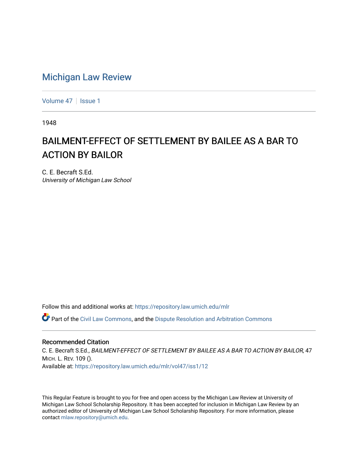## [Michigan Law Review](https://repository.law.umich.edu/mlr)

[Volume 47](https://repository.law.umich.edu/mlr/vol47) | [Issue 1](https://repository.law.umich.edu/mlr/vol47/iss1)

1948

## BAILMENT-EFFECT OF SETTLEMENT BY BAILEE AS A BAR TO ACTION BY BAILOR

C. E. Becraft S.Ed. University of Michigan Law School

Follow this and additional works at: [https://repository.law.umich.edu/mlr](https://repository.law.umich.edu/mlr?utm_source=repository.law.umich.edu%2Fmlr%2Fvol47%2Fiss1%2F12&utm_medium=PDF&utm_campaign=PDFCoverPages) 

 $\bullet$  Part of the [Civil Law Commons](http://network.bepress.com/hgg/discipline/835?utm_source=repository.law.umich.edu%2Fmlr%2Fvol47%2Fiss1%2F12&utm_medium=PDF&utm_campaign=PDFCoverPages), and the Dispute Resolution and Arbitration Commons

## Recommended Citation

C. E. Becraft S.Ed., BAILMENT-EFFECT OF SETTLEMENT BY BAILEE AS A BAR TO ACTION BY BAILOR, 47 MICH. L. REV. 109 (). Available at: [https://repository.law.umich.edu/mlr/vol47/iss1/12](https://repository.law.umich.edu/mlr/vol47/iss1/12?utm_source=repository.law.umich.edu%2Fmlr%2Fvol47%2Fiss1%2F12&utm_medium=PDF&utm_campaign=PDFCoverPages) 

This Regular Feature is brought to you for free and open access by the Michigan Law Review at University of Michigan Law School Scholarship Repository. It has been accepted for inclusion in Michigan Law Review by an authorized editor of University of Michigan Law School Scholarship Repository. For more information, please contact [mlaw.repository@umich.edu](mailto:mlaw.repository@umich.edu).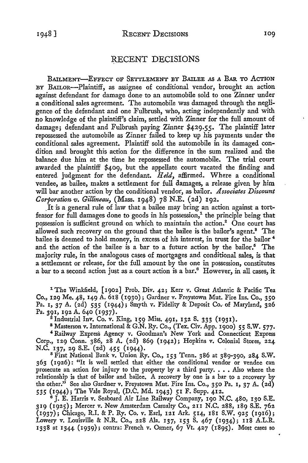## RECENT DECISIONS

BAILMENT-EFFECT OF SETTLEMENT BY BAILEE AS A BAR TO ACTION BY BAILOR-Plaintiff, as assignee of conditional vendor, brought an action against defendant for damage done to an automobile sold to one Zinner under a conditional sales agreement. The automobile was damaged through the negligence of the defendant and one Fulbrush, who, acting independently and with no knowledge of the plaintiff's claim, settled with Zinner for the full amount of damage; defendant and Fulbrush paying Zinner \$429.55. The plaintiff later repossessed the automobile as Zinner failed to keep up his payments under the conditional sales agreement. Plaintiff sold the automobile in its damaged condition and brought this action for the difference in the sum realized and the balance due him at the time he repossessed the automobile. The trial court awarded the plaintiff \$409, but the appellate court vacated the finding and entered judgment for the defendant. *Held,* affirmed. Where a conditional vendee, as bailee, makes a settlement for full damages, a release given by him will bar another action by the conditional vendor, as bailor. *Associates Discount Corporation v. Gillineau,* (Mass. 1948) 78 N.E. (2d) 192.

\_It is a general rule of law that a bailee may bring an action against a tortfeasor for full damages done to goods in his possession, $<sup>1</sup>$  the principle being that</sup> possession is sufficient ground on which to maintain the action. $2$  One court has allowed such recovery on the ground that the bailee is the bailor's agent.<sup>8</sup> The bailee is deemed to hold money, in excess of his interest, in trust for the bailor<sup>4</sup> and the action of the bailee is a bar to a future action by the bailor.<sup>5</sup> The majority rule, in the analogous cases of mortgages and conditional sales, is that a settlement or release, for the full amount by the one in possession, constitutes a bar to a second action just as a court action is a bar.<sup>6</sup> However, in all cases, it

1 The Winkfield, [ I 902] Prob. Div. 42; Kerr *v.* Great Atlantic & Pacific Tea Co., 129 Me. 48, 149 A. 618 (1930); Gardner *v.* Freystown Mut. Fire Ins. Co., 350 Pa. 1, 37 A. (2d) 535 (1944); Smyth *v.* Fidelity & Deposit Co.- of Maryland, 326 Pa. 391, 192 A. 640 (1937). <sup>2</sup> lndustrial Inv. Co. *v.* King, 159 Miss. 491, 132 S. 333 (1931).

<sup>8</sup> Masterson v. International & G.N. Ry. Co., (Tex. Civ. App. 1900) 55 S.W. 577. <sup>4</sup>Railway Express Agency *v.* Goodman's New York and Connecticut Express Corp., 129 Conn. 386, 28 A. (2d) 869 (1942); Hopkins *v.* Colonial Stores, 224 N.C. 137, 29 S.E. (2d) 455 (1944).

<sup>5</sup>First National Bank *v.* Union Ry. Co., 153 Tenn. 386 at 389-390, 284 S.W. 363 (1926): "It is well settled that either the conditional vendor or vendee can prosecute an action for injury to the property by a third party.... Also where the relationship is that of bailor and bailee. A recovery by one is a bar to a recovery by the other." See also Gardner *v.* Freystown Mut. Fire Ins. Co., 350 Pa. 1, 37 A. (2d) 535 (1944); The Vale Royal, (D.C. Md. 1943) 51 F. Supp. 412.

<sup>6</sup>]. E. Harris *v.* Seaboard Air Line Railway Company, 190 N.C. 480, 130 S.E. 319 (1925); Mercer *v.* New Amsterdam Casualty Co., 211 N.C. 288, 189 S.E. 762 (1937); Chicago, R.I. & P. Ry. Co. *v.* Earl, 121 Ark. 514, 181 S.W. 925 (1916); Lowery *v.* Louisville & N.R. Co., 228 Ala. 137, 153 S. 467 (1934); 118 A.L.R. 1338 at 1344 (1939); contra: French *v.* Osmer, 67 Vt. 427 (1895). Most cases so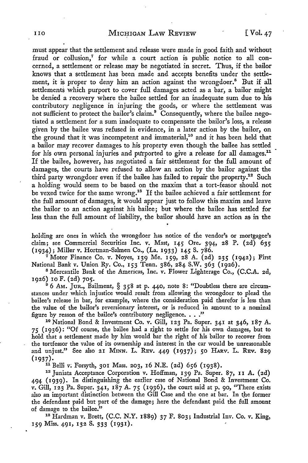must appear that the settlement and release were made in good faith and without fraud or collusion, $^7$  for while a court action is public notice to all concerned, a settlement or release may be negotiated in secret. Thus, if the bailor knows that a settlement has been made and accepts benefits under the settlement, it is proper to deny him an action against the wrongdoer.<sup>8</sup> But if all settlements which purport to cover full damages acted as a bar, a bailor might be denied a recovery where the bailee settled for an inadequate sum due to his contributory negligence in injuring the goods, or where the settlement was not sufficient to protect the bailor's claim.<sup>9</sup> Consequently, where the bailee negotiated a settlement for a sum inadequate to compensate the bailor's loss, a release given by the bailee was refused in evidence, in a later action by the bailor, on the ground that it was incompetent and immaterial,<sup>10</sup> and it has been held that a bailor may recover damages to his property even though the bailee has settled for his own personal injuries and purported to give a release for all damages.<sup>11</sup> If the bailee, however, has negotiated a fair settlement for the full amount of damages, the courts have refused to allow an action by the bailor against the third party wrongdoer even if the bailee has failed to repair the property.<sup>12</sup> Such a holding would seem to be based on the maxim that a tort-feasor should not be vexed twice for the same wrong.<sup>18</sup> If the bailee achieved a fair settlement for the full amount of damages, it would appear just to follow this maxim and leave the bailor to an action against his bailee; but where the bailee has settled for less than the full amount of liability, the bailor should have an action as in the

holding are ones in which the wrongdoer has notice of the vendor's or mortgagee's claim; see Commercial Securities Inc. v. Mast, 145 Ore. 394, 28 P. (2d) 635 (1934); Miller v. Hortman-Salmen Co., (La. 1933) 145 S. 786.

<sup>7</sup> Motor Finance Co. v. Noyes, 139 Me. 159, 28 A. (2d) 235 (1942); First National Bank v. Union Ry. Co., 153 Tenn. 386, 284 S.W. 363 (1926).

<sup>8</sup>Mercantile Bank of the Americas, Inc. v. Flower Lighterage Co., (C.C.A. 2d, 1926) IO F. (2d) 705.

<sup>9</sup> 6 Am. JUR., Bailment, § 358 at p. 440, note 8: "Doubtless there are circumstances under which injustice would result from allowing the wrongdoer to plead the bailee's release in bar, for example, where the consideration paid therefor is less than the value of the bailor's reversionary interest, or is reduced in amount to a nominal figure by reason of the bailee's contributory negligence.  $\ldots$ ."<br><sup>10</sup> National Bond & Investment Co. v. Gill, 123 Pa. Super. 341 at 346, 187 A.

75 (1936): "Of course, the bailee had a right to settle for his own damages, but to hold that a settlement made by him would bar the right of his bailor to recover from the tortfeasor the value of its ownership and interest in the car would be unreasonable and unjust." See also 21 MINN. L. REv. 449 (1937); *50* HARV. L. REv. 829

(1937).<br><sup>11</sup> Belli v: Forsyth, 301 Mass. 203, 16 N.E. (2d) 656 (1938).<br><sup>12</sup> Juniata Acceptance Corporation v. Hoffman, 139 Pa. Super. 87, 11 A. (2d) 494 (1939). In distinguishing the earlier case of National Bond & Investment Co. v. Gill, 123 Pa. Super. 341, 187 A. *75* (1936), the court said at p. 90, "There exists also an important distinction between the Gill Case and the one at bar. In the former the defendant paid but part of the damage; here the defendant paid the full amount of damage to the bailee." 18 Hardman v. Brett, (C.C. N.Y. 1889) 37 F. 803; Industrial Inv. Co. v. King,

159 Miss. 491, 132 S. 333 (1931).